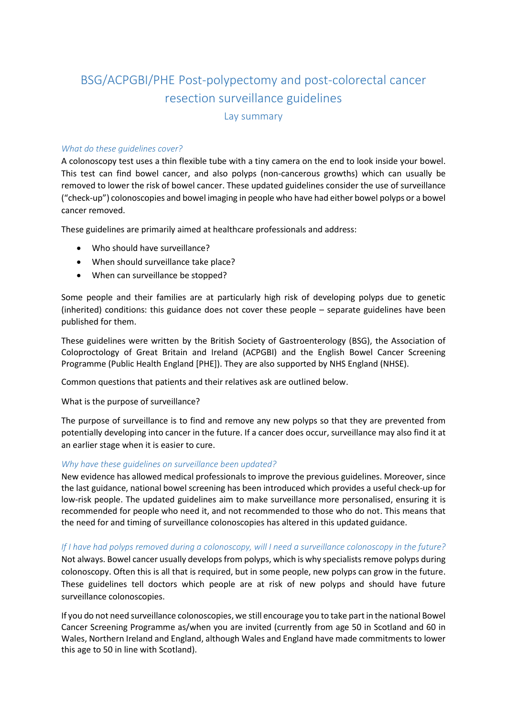# BSG/ACPGBI/PHE Post-polypectomy and post-colorectal cancer resection surveillance guidelines Lay summary

# *What do these guidelines cover?*

A colonoscopy test uses a thin flexible tube with a tiny camera on the end to look inside your bowel. This test can find bowel cancer, and also polyps (non-cancerous growths) which can usually be removed to lower the risk of bowel cancer. These updated guidelines consider the use of surveillance ("check-up") colonoscopies and bowel imaging in people who have had either bowel polyps or a bowel cancer removed.

These guidelines are primarily aimed at healthcare professionals and address:

- Who should have surveillance?
- When should surveillance take place?
- When can surveillance be stopped?

Some people and their families are at particularly high risk of developing polyps due to genetic (inherited) conditions: this guidance does not cover these people – separate guidelines have been published for them.

These guidelines were written by the British Society of Gastroenterology (BSG), the Association of Coloproctology of Great Britain and Ireland (ACPGBI) and the English Bowel Cancer Screening Programme (Public Health England [PHE]). They are also supported by NHS England (NHSE).

Common questions that patients and their relatives ask are outlined below.

### What is the purpose of surveillance?

The purpose of surveillance is to find and remove any new polyps so that they are prevented from potentially developing into cancer in the future. If a cancer does occur, surveillance may also find it at an earlier stage when it is easier to cure.

### *Why have these guidelines on surveillance been updated?*

New evidence has allowed medical professionals to improve the previous guidelines. Moreover, since the last guidance, national bowel screening has been introduced which provides a useful check-up for low-risk people. The updated guidelines aim to make surveillance more personalised, ensuring it is recommended for people who need it, and not recommended to those who do not. This means that the need for and timing of surveillance colonoscopies has altered in this updated guidance.

*If I have had polyps removed during a colonoscopy, will I need a surveillance colonoscopy in the future?* Not always. Bowel cancer usually develops from polyps, which is why specialists remove polyps during colonoscopy. Often this is all that is required, but in some people, new polyps can grow in the future. These guidelines tell doctors which people are at risk of new polyps and should have future surveillance colonoscopies.

If you do not need surveillance colonoscopies, we still encourage you to take part in the national Bowel Cancer Screening Programme as/when you are invited (currently from age 50 in Scotland and 60 in Wales, Northern Ireland and England, although Wales and England have made commitments to lower this age to 50 in line with Scotland).